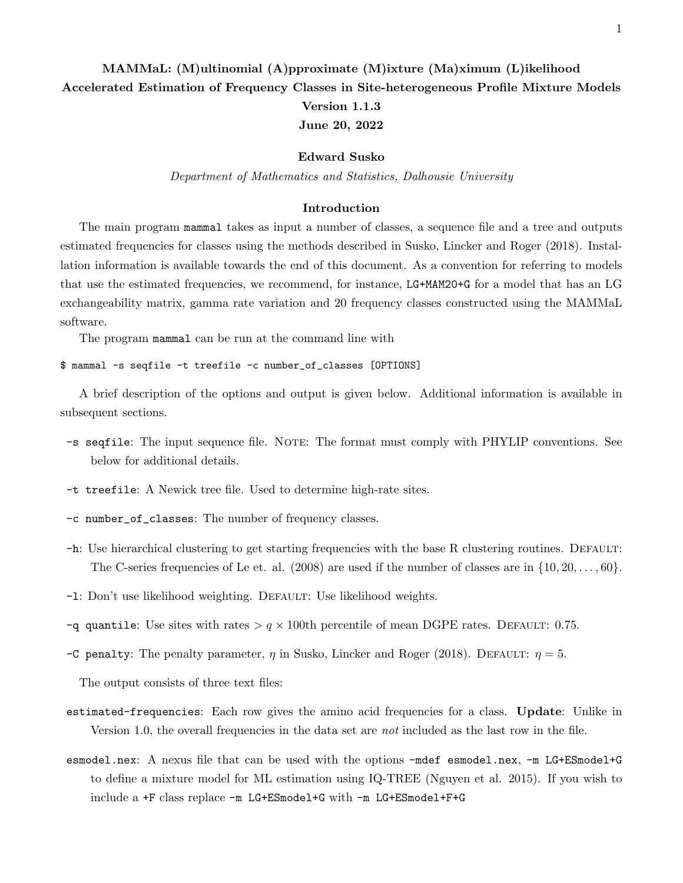# MAMMaL: (M)ultinomial (A)pproximate (M)ixture (Ma)ximum (L)ikelihood Accelerated Estimation of Frequency Classes in Site-heterogeneous Profile Mixture Models Version 1.1.3 June 20, 2022

### Edward Susko

Department of Mathematics and Statistics, Dalhousie University

### Introduction

The main program mammal takes as input a number of classes, a sequence file and a tree and outputs estimated frequencies for classes using the methods described in Susko, Lincker and Roger (2018). Installation information is available towards the end of this document. As a convention for referring to models that use the estimated frequencies, we recommend, for instance, LG+MAM20+G for a model that has an LG exchangeability matrix, gamma rate variation and 20 frequency classes constructed using the MAMMaL software.

The program mammal can be run at the command line with

\$ mammal -s seqfile -t treefile -c number\_of\_classes [OPTIONS]

A brief description of the options and output is given below. Additional information is available in subsequent sections.

- -s seqfile: The input sequence file. Note: The format must comply with PHYLIP conventions. See below for additional details.
- -t treefile: A Newick tree file. Used to determine high-rate sites.
- -c number\_of\_classes: The number of frequency classes.
- -h: Use hierarchical clustering to get starting frequencies with the base R clustering routines. Default: The C-series frequencies of Le et. al. (2008) are used if the number of classes are in  $\{10, 20, \ldots, 60\}$ .
- -1: Don't use likelihood weighting. DEFAULT: Use likelihood weights.
- -q quantile: Use sites with rates  $> q \times 100$ th percentile of mean DGPE rates. DEFAULT: 0.75.
- -C penalty: The penalty parameter,  $\eta$  in Susko, Lincker and Roger (2018). DEFAULT:  $\eta = 5$ .

The output consists of three text files:

- estimated-frequencies: Each row gives the amino acid frequencies for a class. Update: Unlike in Version 1.0, the overall frequencies in the data set are *not* included as the last row in the file.
- esmodel.nex: A nexus file that can be used with the options -mdef esmodel.nex, -m LG+ESmodel+G to define a mixture model for ML estimation using IQ-TREE (Nguyen et al. 2015). If you wish to include a +F class replace -m LG+ESmodel+G with -m LG+ESmodel+F+G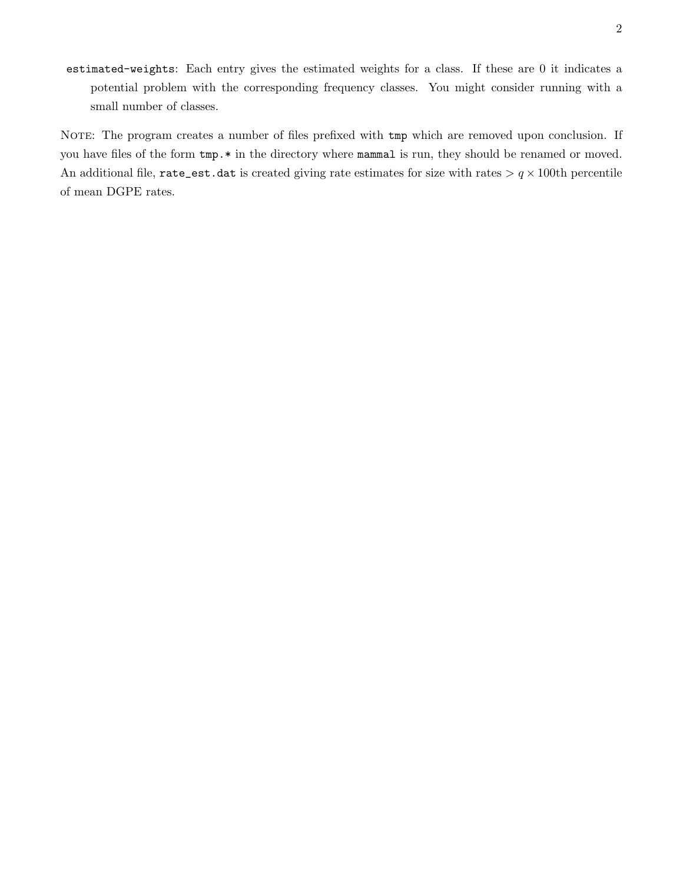estimated-weights: Each entry gives the estimated weights for a class. If these are 0 it indicates a potential problem with the corresponding frequency classes. You might consider running with a small number of classes.

NOTE: The program creates a number of files prefixed with tmp which are removed upon conclusion. If you have files of the form tmp.\* in the directory where mammal is run, they should be renamed or moved. An additional file, rate\_est.dat is created giving rate estimates for size with rates  $> q \times 100$ th percentile of mean DGPE rates.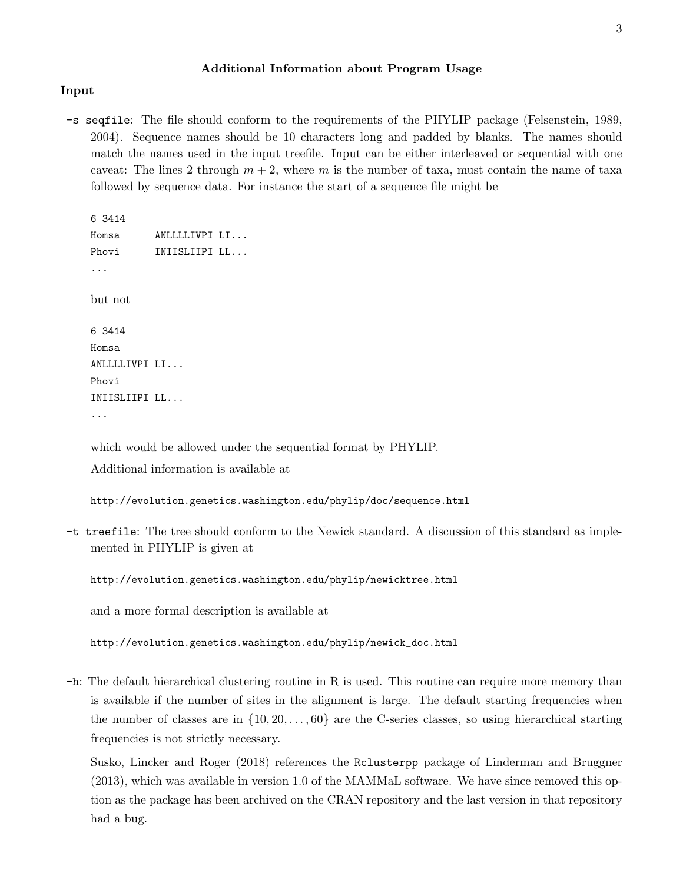## Additional Information about Program Usage

## Input

-s seqfile: The file should conform to the requirements of the PHYLIP package (Felsenstein, 1989, 2004). Sequence names should be 10 characters long and padded by blanks. The names should match the names used in the input treefile. Input can be either interleaved or sequential with one caveat: The lines 2 through  $m + 2$ , where m is the number of taxa, must contain the name of taxa followed by sequence data. For instance the start of a sequence file might be

6 3414 Homsa ANLLLLIVPI LI... Phovi INIISLIIPI LL... ... but not 6 3414 Homsa ANLLLLIVPI LI... Phovi INIISLIIPI LL... ...

which would be allowed under the sequential format by PHYLIP. Additional information is available at

http://evolution.genetics.washington.edu/phylip/doc/sequence.html

-t treefile: The tree should conform to the Newick standard. A discussion of this standard as implemented in PHYLIP is given at

http://evolution.genetics.washington.edu/phylip/newicktree.html

and a more formal description is available at

http://evolution.genetics.washington.edu/phylip/newick\_doc.html

-h: The default hierarchical clustering routine in R is used. This routine can require more memory than is available if the number of sites in the alignment is large. The default starting frequencies when the number of classes are in  $\{10, 20, \ldots, 60\}$  are the C-series classes, so using hierarchical starting frequencies is not strictly necessary.

Susko, Lincker and Roger (2018) references the Rclusterpp package of Linderman and Bruggner (2013), which was available in version 1.0 of the MAMMaL software. We have since removed this option as the package has been archived on the CRAN repository and the last version in that repository had a bug.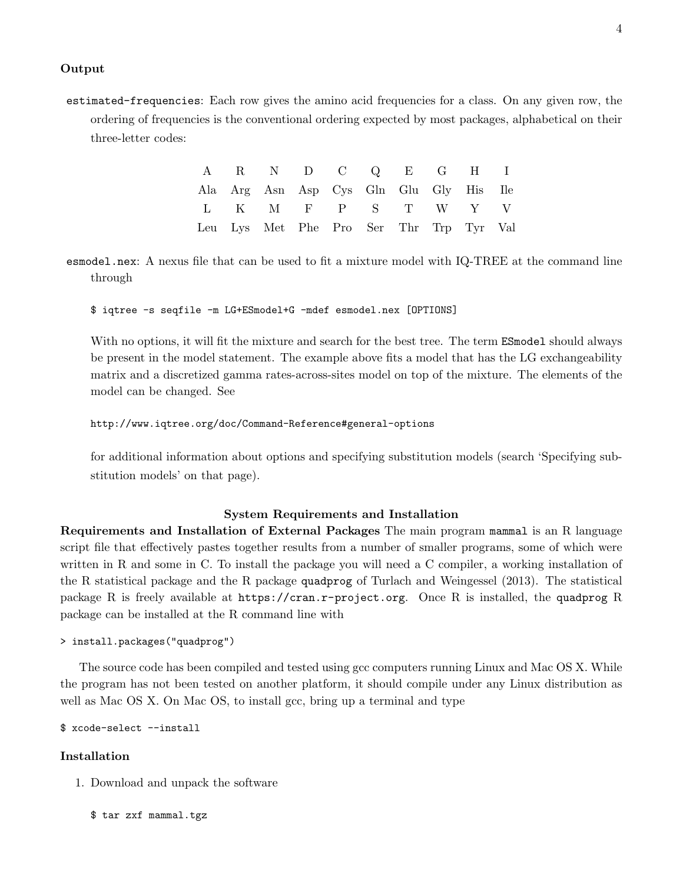## Output

estimated-frequencies: Each row gives the amino acid frequencies for a class. On any given row, the ordering of frequencies is the conventional ordering expected by most packages, alphabetical on their three-letter codes:

|  | A R N D C Q E G H I                     |  |  |  |  |
|--|-----------------------------------------|--|--|--|--|
|  | Ala Arg Asn Asp Cys Gln Glu Gly His Ile |  |  |  |  |
|  | L K M F P S T W Y V                     |  |  |  |  |
|  | Leu Lys Met Phe Pro Ser Thr Trp Tyr Val |  |  |  |  |

esmodel.nex: A nexus file that can be used to fit a mixture model with IQ-TREE at the command line through

\$ iqtree -s seqfile -m LG+ESmodel+G -mdef esmodel.nex [OPTIONS]

With no options, it will fit the mixture and search for the best tree. The term **ESmodel** should always be present in the model statement. The example above fits a model that has the LG exchangeability matrix and a discretized gamma rates-across-sites model on top of the mixture. The elements of the model can be changed. See

### http://www.iqtree.org/doc/Command-Reference#general-options

for additional information about options and specifying substitution models (search 'Specifying substitution models' on that page).

## System Requirements and Installation

Requirements and Installation of External Packages The main program mammal is an R language script file that effectively pastes together results from a number of smaller programs, some of which were written in R and some in C. To install the package you will need a C compiler, a working installation of the R statistical package and the R package quadprog of Turlach and Weingessel (2013). The statistical package R is freely available at https://cran.r-project.org. Once R is installed, the quadprog R package can be installed at the R command line with

```
> install.packages("quadprog")
```
The source code has been compiled and tested using gcc computers running Linux and Mac OS X. While the program has not been tested on another platform, it should compile under any Linux distribution as well as Mac OS X. On Mac OS, to install gcc, bring up a terminal and type

\$ xcode-select --install

# Installation

1. Download and unpack the software

\$ tar zxf mammal.tgz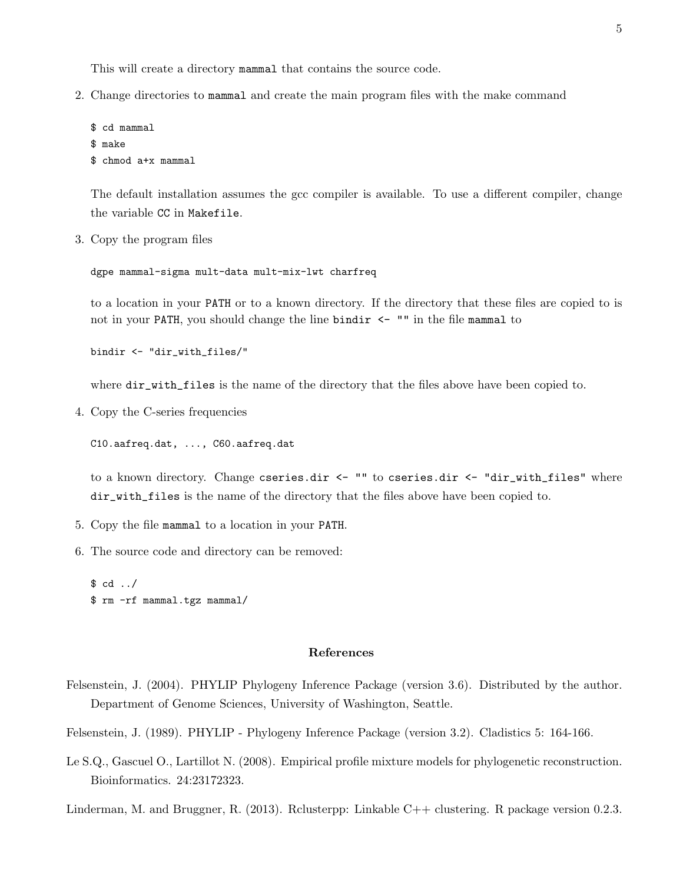This will create a directory mammal that contains the source code.

2. Change directories to mammal and create the main program files with the make command

```
$ cd mammal
$ make
$ chmod a+x mammal
```
The default installation assumes the gcc compiler is available. To use a different compiler, change the variable CC in Makefile.

3. Copy the program files

dgpe mammal-sigma mult-data mult-mix-lwt charfreq

to a location in your PATH or to a known directory. If the directory that these files are copied to is not in your PATH, you should change the line bindir  $\leq$   $\blacksquare$  "" in the file mammal to

bindir <- "dir\_with\_files/"

where dir\_with\_files is the name of the directory that the files above have been copied to.

4. Copy the C-series frequencies

C10.aafreq.dat, ..., C60.aafreq.dat

to a known directory. Change cseries.dir <- "" to cseries.dir <- "dir\_with\_files" where dir\_with\_files is the name of the directory that the files above have been copied to.

- 5. Copy the file mammal to a location in your PATH.
- 6. The source code and directory can be removed:

 $$ cd../$ \$ rm -rf mammal.tgz mammal/

#### References

Felsenstein, J. (2004). PHYLIP Phylogeny Inference Package (version 3.6). Distributed by the author. Department of Genome Sciences, University of Washington, Seattle.

Felsenstein, J. (1989). PHYLIP - Phylogeny Inference Package (version 3.2). Cladistics 5: 164-166.

Le S.Q., Gascuel O., Lartillot N. (2008). Empirical profile mixture models for phylogenetic reconstruction. Bioinformatics. 24:23172323.

Linderman, M. and Bruggner, R. (2013). Rclusterpp: Linkable C++ clustering. R package version 0.2.3.